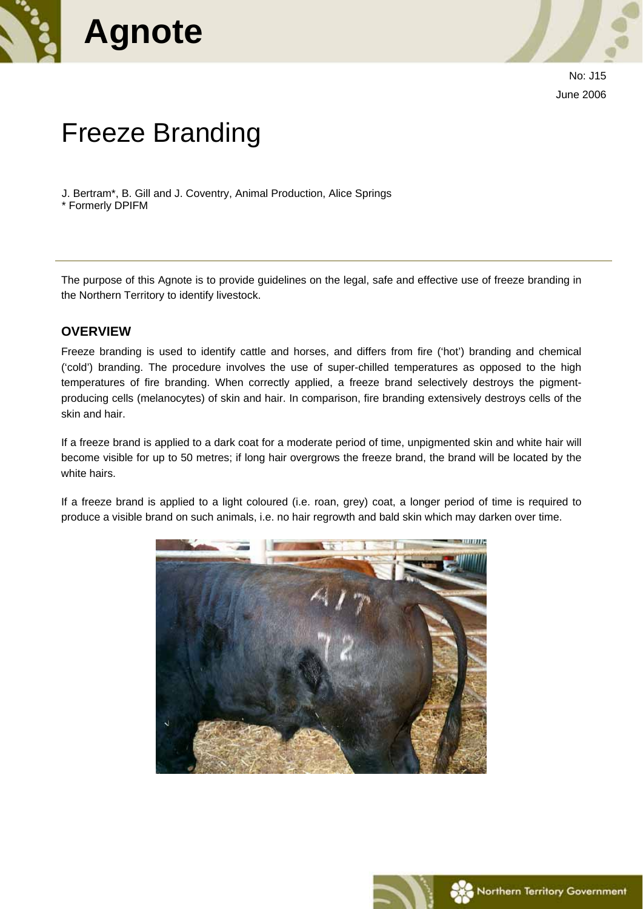



No: J15 June 2006

# Freeze Branding

J. Bertram\*, B. Gill and J. Coventry, Animal Production, Alice Springs \* Formerly DPIFM

The purpose of this Agnote is to provide guidelines on the legal, safe and effective use of freeze branding in the Northern Territory to identify livestock.

#### **OVERVIEW**

Freeze branding is used to identify cattle and horses, and differs from fire ('hot') branding and chemical ('cold') branding. The procedure involves the use of super-chilled temperatures as opposed to the high temperatures of fire branding. When correctly applied, a freeze brand selectively destroys the pigmentproducing cells (melanocytes) of skin and hair. In comparison, fire branding extensively destroys cells of the skin and hair.

If a freeze brand is applied to a dark coat for a moderate period of time, unpigmented skin and white hair will become visible for up to 50 metres; if long hair overgrows the freeze brand, the brand will be located by the white hairs.

If a freeze brand is applied to a light coloured (i.e. roan, grey) coat, a longer period of time is required to produce a visible brand on such animals, i.e. no hair regrowth and bald skin which may darken over time.



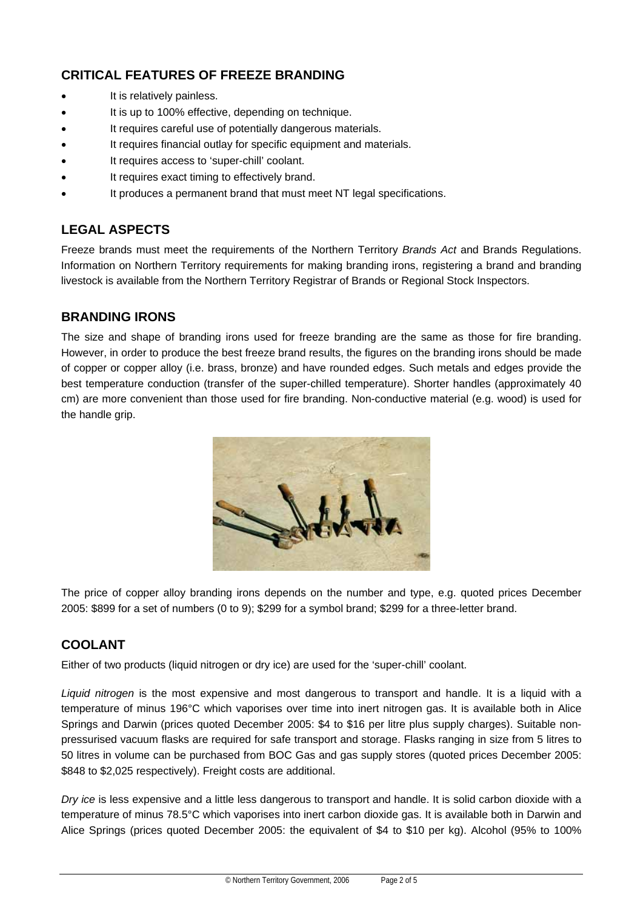## **CRITICAL FEATURES OF FREEZE BRANDING**

- It is relatively painless.
- It is up to 100% effective, depending on technique.
- It requires careful use of potentially dangerous materials.
- It requires financial outlay for specific equipment and materials.
- It requires access to 'super-chill' coolant.
- It requires exact timing to effectively brand.
- It produces a permanent brand that must meet NT legal specifications.

## **LEGAL ASPECTS**

Freeze brands must meet the requirements of the Northern Territory *Brands Act* and Brands Regulations. Information on Northern Territory requirements for making branding irons, registering a brand and branding livestock is available from the Northern Territory Registrar of Brands or Regional Stock Inspectors.

## **BRANDING IRONS**

The size and shape of branding irons used for freeze branding are the same as those for fire branding. However, in order to produce the best freeze brand results, the figures on the branding irons should be made of copper or copper alloy (i.e. brass, bronze) and have rounded edges. Such metals and edges provide the best temperature conduction (transfer of the super-chilled temperature). Shorter handles (approximately 40 cm) are more convenient than those used for fire branding. Non-conductive material (e.g. wood) is used for the handle grip.



The price of copper alloy branding irons depends on the number and type, e.g. quoted prices December 2005: \$899 for a set of numbers (0 to 9); \$299 for a symbol brand; \$299 for a three-letter brand.

## **COOLANT**

Either of two products (liquid nitrogen or dry ice) are used for the 'super-chill' coolant.

*Liquid nitrogen* is the most expensive and most dangerous to transport and handle. It is a liquid with a temperature of minus 196°C which vaporises over time into inert nitrogen gas. It is available both in Alice Springs and Darwin (prices quoted December 2005: \$4 to \$16 per litre plus supply charges). Suitable nonpressurised vacuum flasks are required for safe transport and storage. Flasks ranging in size from 5 litres to 50 litres in volume can be purchased from BOC Gas and gas supply stores (quoted prices December 2005: \$848 to \$2,025 respectively). Freight costs are additional.

*Dry ice* is less expensive and a little less dangerous to transport and handle. It is solid carbon dioxide with a temperature of minus 78.5°C which vaporises into inert carbon dioxide gas. It is available both in Darwin and Alice Springs (prices quoted December 2005: the equivalent of \$4 to \$10 per kg). Alcohol (95% to 100%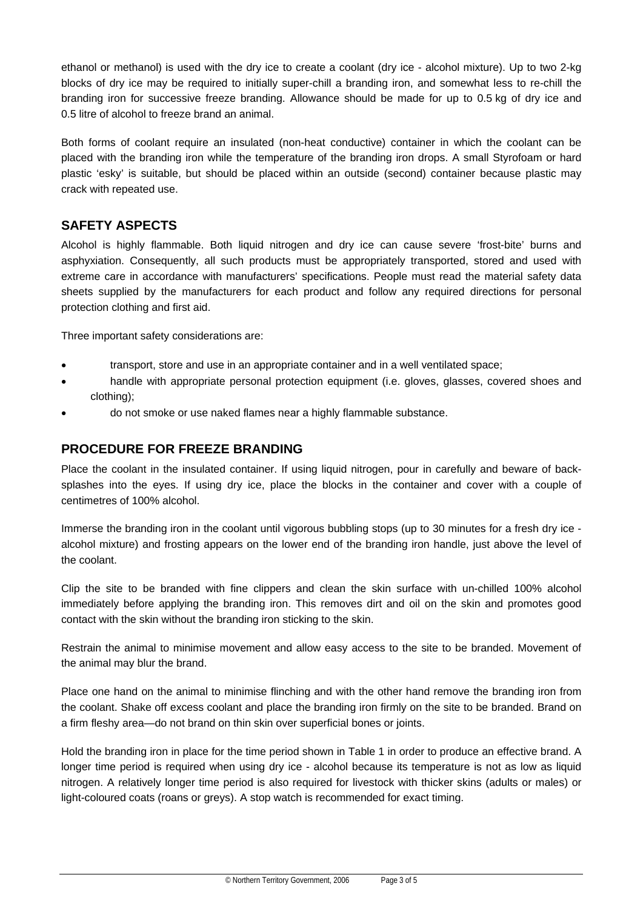ethanol or methanol) is used with the dry ice to create a coolant (dry ice - alcohol mixture). Up to two 2-kg blocks of dry ice may be required to initially super-chill a branding iron, and somewhat less to re-chill the branding iron for successive freeze branding. Allowance should be made for up to 0.5 kg of dry ice and 0.5 litre of alcohol to freeze brand an animal.

Both forms of coolant require an insulated (non-heat conductive) container in which the coolant can be placed with the branding iron while the temperature of the branding iron drops. A small Styrofoam or hard plastic 'esky' is suitable, but should be placed within an outside (second) container because plastic may crack with repeated use.

### **SAFETY ASPECTS**

Alcohol is highly flammable. Both liquid nitrogen and dry ice can cause severe 'frost-bite' burns and asphyxiation. Consequently, all such products must be appropriately transported, stored and used with extreme care in accordance with manufacturers' specifications. People must read the material safety data sheets supplied by the manufacturers for each product and follow any required directions for personal protection clothing and first aid.

Three important safety considerations are:

- transport, store and use in an appropriate container and in a well ventilated space;
- handle with appropriate personal protection equipment (i.e. gloves, glasses, covered shoes and clothing);
- do not smoke or use naked flames near a highly flammable substance.

#### **PROCEDURE FOR FREEZE BRANDING**

Place the coolant in the insulated container. If using liquid nitrogen, pour in carefully and beware of backsplashes into the eyes. If using dry ice, place the blocks in the container and cover with a couple of centimetres of 100% alcohol.

Immerse the branding iron in the coolant until vigorous bubbling stops (up to 30 minutes for a fresh dry ice alcohol mixture) and frosting appears on the lower end of the branding iron handle, just above the level of the coolant.

Clip the site to be branded with fine clippers and clean the skin surface with un-chilled 100% alcohol immediately before applying the branding iron. This removes dirt and oil on the skin and promotes good contact with the skin without the branding iron sticking to the skin.

Restrain the animal to minimise movement and allow easy access to the site to be branded. Movement of the animal may blur the brand.

Place one hand on the animal to minimise flinching and with the other hand remove the branding iron from the coolant. Shake off excess coolant and place the branding iron firmly on the site to be branded. Brand on a firm fleshy area—do not brand on thin skin over superficial bones or joints.

Hold the branding iron in place for the time period shown in Table 1 in order to produce an effective brand. A longer time period is required when using dry ice - alcohol because its temperature is not as low as liquid nitrogen. A relatively longer time period is also required for livestock with thicker skins (adults or males) or light-coloured coats (roans or greys). A stop watch is recommended for exact timing.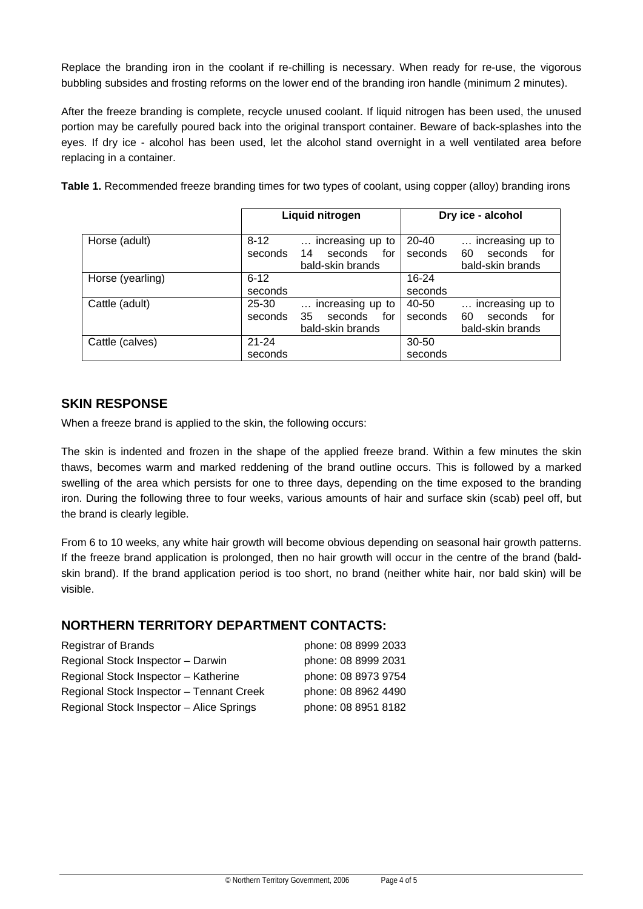Replace the branding iron in the coolant if re-chilling is necessary. When ready for re-use, the vigorous bubbling subsides and frosting reforms on the lower end of the branding iron handle (minimum 2 minutes).

After the freeze branding is complete, recycle unused coolant. If liquid nitrogen has been used, the unused portion may be carefully poured back into the original transport container. Beware of back-splashes into the eyes. If dry ice - alcohol has been used, let the alcohol stand overnight in a well ventilated area before replacing in a container.

**Table 1.** Recommended freeze branding times for two types of coolant, using copper (alloy) branding irons

|                  |                      | Liquid nitrogen                                                          | Dry ice - alcohol                                                                |
|------------------|----------------------|--------------------------------------------------------------------------|----------------------------------------------------------------------------------|
| Horse (adult)    | $8 - 12$<br>seconds  | increasing up to<br>$\cdots$<br>seconds<br>for<br>14<br>bald-skin brands | 20-40<br>increasing up to<br>seconds<br>for<br>60<br>seconds<br>bald-skin brands |
| Horse (yearling) | $6 - 12$<br>seconds  |                                                                          | $16 - 24$<br>seconds                                                             |
| Cattle (adult)   | 25-30<br>seconds     | increasing up to<br>$\cdots$<br>35<br>seconds<br>for<br>bald-skin brands | 40-50<br>increasing up to<br>seconds<br>seconds<br>for<br>60<br>bald-skin brands |
| Cattle (calves)  | $21 - 24$<br>seconds |                                                                          | $30 - 50$<br>seconds                                                             |

#### **SKIN RESPONSE**

When a freeze brand is applied to the skin, the following occurs:

The skin is indented and frozen in the shape of the applied freeze brand. Within a few minutes the skin thaws, becomes warm and marked reddening of the brand outline occurs. This is followed by a marked swelling of the area which persists for one to three days, depending on the time exposed to the branding iron. During the following three to four weeks, various amounts of hair and surface skin (scab) peel off, but the brand is clearly legible.

From 6 to 10 weeks, any white hair growth will become obvious depending on seasonal hair growth patterns. If the freeze brand application is prolonged, then no hair growth will occur in the centre of the brand (baldskin brand). If the brand application period is too short, no brand (neither white hair, nor bald skin) will be visible.

#### **NORTHERN TERRITORY DEPARTMENT CONTACTS:**

| <b>Registrar of Brands</b>               | phone: 08 8999 2033 |
|------------------------------------------|---------------------|
| Regional Stock Inspector - Darwin        | phone: 08 8999 2031 |
| Regional Stock Inspector - Katherine     | phone: 08 8973 9754 |
| Regional Stock Inspector - Tennant Creek | phone: 08 8962 4490 |
| Regional Stock Inspector - Alice Springs | phone: 08 8951 8182 |